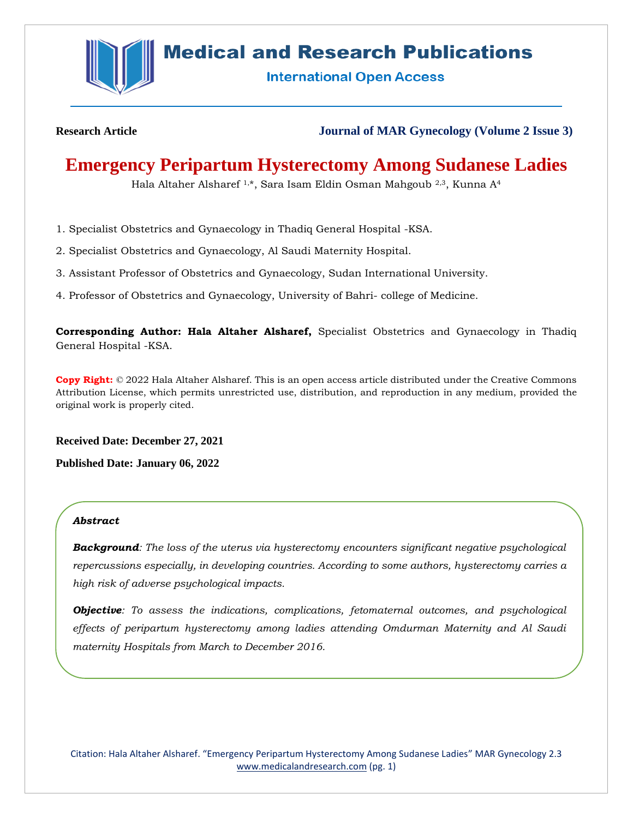

# **Medical and Research Publications**

**International Open Access** 

**Research Article Journal of MAR Gynecology (Volume 2 Issue 3)**

# **Emergency Peripartum Hysterectomy Among Sudanese Ladies**

Hala Altaher Alsharef 1,\*, Sara Isam Eldin Osman Mahgoub 2,3, Kunna A<sup>4</sup>

- 1. Specialist Obstetrics and Gynaecology in Thadiq General Hospital -KSA.
- 2. Specialist Obstetrics and Gynaecology, Al Saudi Maternity Hospital.
- 3. Assistant Professor of Obstetrics and Gynaecology, Sudan International University.
- 4. Professor of Obstetrics and Gynaecology, University of Bahri- college of Medicine.

**Corresponding Author: Hala Altaher Alsharef,** Specialist Obstetrics and Gynaecology in Thadiq General Hospital -KSA.

**Copy Right:** © 2022 Hala Altaher Alsharef. This is an open access article distributed under the Creative Commons Attribution License, which permits unrestricted use, distribution, and reproduction in any medium, provided the original work is properly cited.

**Received Date: December 27, 2021**

**Published Date: January 06, 2022**

### *Abstract*

*Background: The loss of the uterus via hysterectomy encounters significant negative psychological repercussions especially, in developing countries. According to some authors, hysterectomy carries a high risk of adverse psychological impacts.* 

*Objective: To assess the indications, complications, fetomaternal outcomes, and psychological effects of peripartum hysterectomy among ladies attending Omdurman Maternity and Al Saudi maternity Hospitals from March to December 2016.* 

Citation: Hala Altaher Alsharef. "Emergency Peripartum Hysterectomy Among Sudanese Ladies" MAR Gynecology 2.3 [www.medicalandresearch.com](http://www.medicalandresearch.com/) (pg. 1)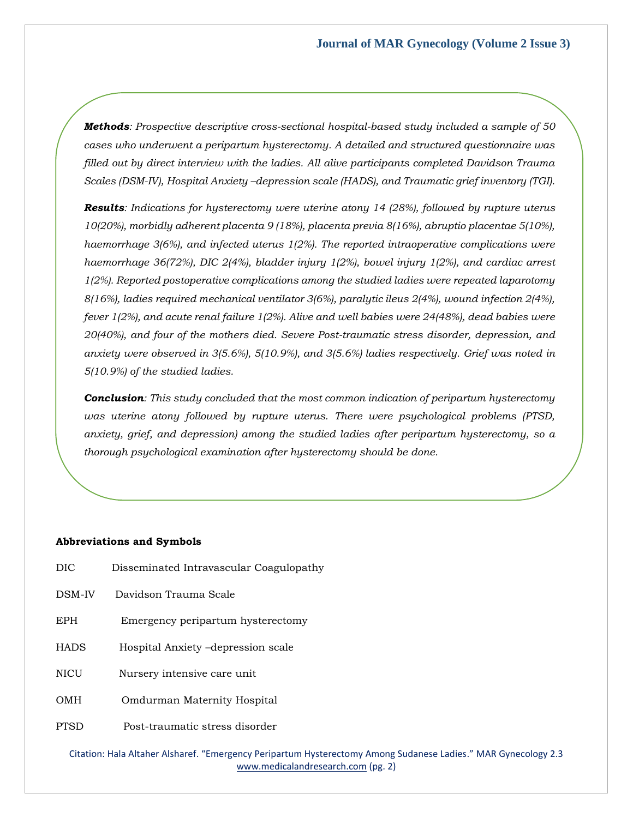*Methods: Prospective descriptive cross-sectional hospital-based study included a sample of 50 cases who underwent a peripartum hysterectomy. A detailed and structured questionnaire was filled out by direct interview with the ladies. All alive participants completed Davidson Trauma Scales (DSM-IV), Hospital Anxiety –depression scale (HADS), and Traumatic grief inventory (TGI).*

*Results: Indications for hysterectomy were uterine atony 14 (28%), followed by rupture uterus 10(20%), morbidly adherent placenta 9 (18%), placenta previa 8(16%), abruptio placentae 5(10%), haemorrhage 3(6%), and infected uterus 1(2%). The reported intraoperative complications were haemorrhage 36(72%), DIC 2(4%), bladder injury 1(2%), bowel injury 1(2%), and cardiac arrest 1(2%). Reported postoperative complications among the studied ladies were repeated laparotomy 8(16%), ladies required mechanical ventilator 3(6%), paralytic ileus 2(4%), wound infection 2(4%), fever 1(2%), and acute renal failure 1(2%). Alive and well babies were 24(48%), dead babies were 20(40%), and four of the mothers died. Severe Post-traumatic stress disorder, depression, and anxiety were observed in 3(5.6%), 5(10.9%), and 3(5.6%) ladies respectively. Grief was noted in 5(10.9%) of the studied ladies.*

*Conclusion: This study concluded that the most common indication of peripartum hysterectomy was uterine atony followed by rupture uterus. There were psychological problems (PTSD, anxiety, grief, and depression) among the studied ladies after peripartum hysterectomy, so a thorough psychological examination after hysterectomy should be done.*

### **Abbreviations and Symbols**

- DIC Disseminated Intravascular Coagulopathy
- DSM-IV Davidson Trauma Scale
- EPH Emergency peripartum hysterectomy
- HADS Hospital Anxiety –depression scale
- NICU Nursery intensive care unit
- OMH Omdurman Maternity Hospital
- PTSD Post-traumatic stress disorder

Citation: Hala Altaher Alsharef. "Emergency Peripartum Hysterectomy Among Sudanese Ladies." MAR Gynecology 2.3 [www.medicalandresearch.com](http://www.medicalandresearch.com/) (pg. 2)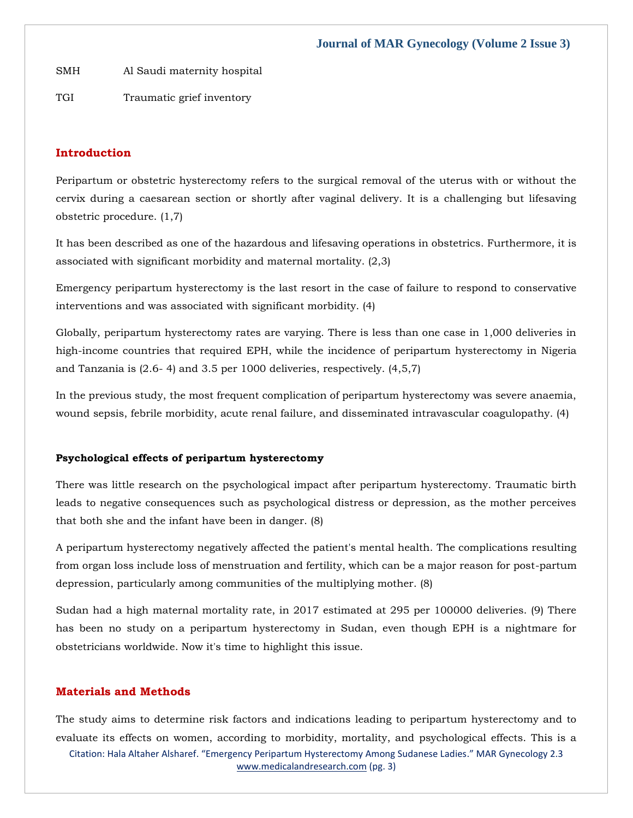SMH Al Saudi maternity hospital

TGI Traumatic grief inventory

# **Introduction**

Peripartum or obstetric hysterectomy refers to the surgical removal of the uterus with or without the cervix during a caesarean section or shortly after vaginal delivery. It is a challenging but lifesaving obstetric procedure. (1,7)

It has been described as one of the hazardous and lifesaving operations in obstetrics. Furthermore, it is associated with significant morbidity and maternal mortality. (2,3)

Emergency peripartum hysterectomy is the last resort in the case of failure to respond to conservative interventions and was associated with significant morbidity. (4)

Globally, peripartum hysterectomy rates are varying. There is less than one case in 1,000 deliveries in high-income countries that required EPH, while the incidence of peripartum hysterectomy in Nigeria and Tanzania is (2.6- 4) and 3.5 per 1000 deliveries, respectively. (4,5,7)

In the previous study, the most frequent complication of peripartum hysterectomy was severe anaemia, wound sepsis, febrile morbidity, acute renal failure, and disseminated intravascular coagulopathy. (4)

### **Psychological effects of peripartum hysterectomy**

There was little research on the psychological impact after peripartum hysterectomy. Traumatic birth leads to negative consequences such as psychological distress or depression, as the mother perceives that both she and the infant have been in danger. (8)

A peripartum hysterectomy negatively affected the patient's mental health. The complications resulting from organ loss include loss of menstruation and fertility, which can be a major reason for post-partum depression, particularly among communities of the multiplying mother. (8)

Sudan had a high maternal mortality rate, in 2017 estimated at 295 per 100000 deliveries. (9) There has been no study on a peripartum hysterectomy in Sudan, even though EPH is a nightmare for obstetricians worldwide. Now it's time to highlight this issue.

### **Materials and Methods**

Citation: Hala Altaher Alsharef. "Emergency Peripartum Hysterectomy Among Sudanese Ladies." MAR Gynecology 2.3 [www.medicalandresearch.com](http://www.medicalandresearch.com/) (pg. 3) The study aims to determine risk factors and indications leading to peripartum hysterectomy and to evaluate its effects on women, according to morbidity, mortality, and psychological effects. This is a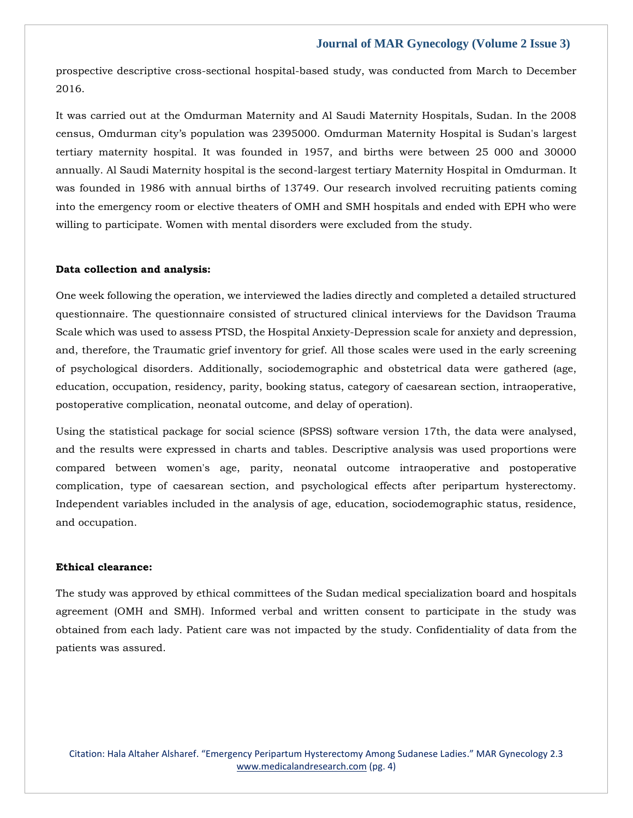prospective descriptive cross-sectional hospital-based study, was conducted from March to December 2016.

It was carried out at the Omdurman Maternity and Al Saudi Maternity Hospitals, Sudan. In the 2008 census, Omdurman city's population was 2395000. Omdurman Maternity Hospital is Sudan's largest tertiary maternity hospital. It was founded in 1957, and births were between 25 000 and 30000 annually. Al Saudi Maternity hospital is the second-largest tertiary Maternity Hospital in Omdurman. It was founded in 1986 with annual births of 13749. Our research involved recruiting patients coming into the emergency room or elective theaters of OMH and SMH hospitals and ended with EPH who were willing to participate. Women with mental disorders were excluded from the study.

### **Data collection and analysis:**

One week following the operation, we interviewed the ladies directly and completed a detailed structured questionnaire. The questionnaire consisted of structured clinical interviews for the Davidson Trauma Scale which was used to assess PTSD, the Hospital Anxiety-Depression scale for anxiety and depression, and, therefore, the Traumatic grief inventory for grief. All those scales were used in the early screening of psychological disorders. Additionally, sociodemographic and obstetrical data were gathered (age, education, occupation, residency, parity, booking status, category of caesarean section, intraoperative, postoperative complication, neonatal outcome, and delay of operation).

Using the statistical package for social science (SPSS) software version 17th, the data were analysed, and the results were expressed in charts and tables. Descriptive analysis was used proportions were compared between women's age, parity, neonatal outcome intraoperative and postoperative complication, type of caesarean section, and psychological effects after peripartum hysterectomy. Independent variables included in the analysis of age, education, sociodemographic status, residence, and occupation.

### **Ethical clearance:**

The study was approved by ethical committees of the Sudan medical specialization board and hospitals agreement (OMH and SMH). Informed verbal and written consent to participate in the study was obtained from each lady. Patient care was not impacted by the study. Confidentiality of data from the patients was assured.

Citation: Hala Altaher Alsharef. "Emergency Peripartum Hysterectomy Among Sudanese Ladies." MAR Gynecology 2.3 [www.medicalandresearch.com](http://www.medicalandresearch.com/) (pg. 4)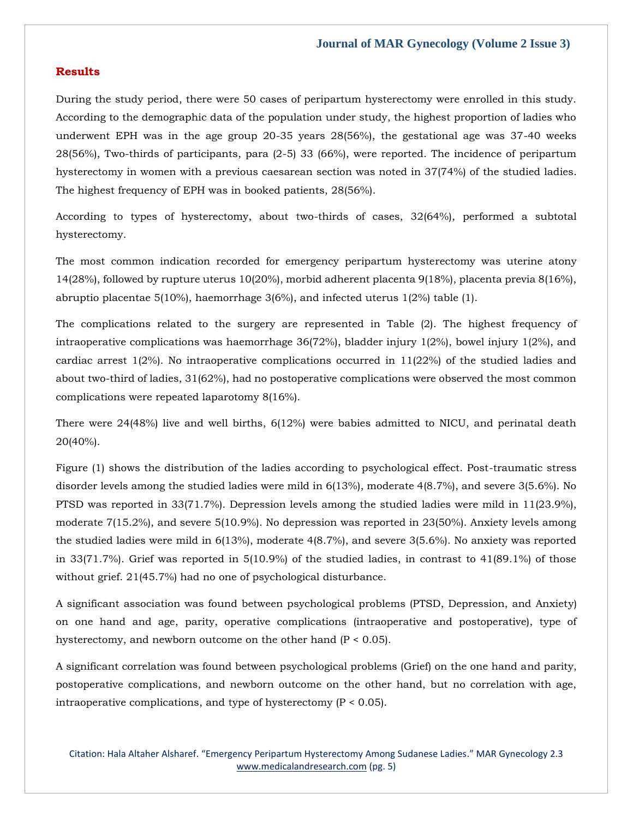### **Results**

During the study period, there were 50 cases of peripartum hysterectomy were enrolled in this study. According to the demographic data of the population under study, the highest proportion of ladies who underwent EPH was in the age group 20-35 years 28(56%), the gestational age was 37-40 weeks 28(56%), Two-thirds of participants, para (2-5) 33 (66%), were reported. The incidence of peripartum hysterectomy in women with a previous caesarean section was noted in 37(74%) of the studied ladies. The highest frequency of EPH was in booked patients, 28(56%).

According to types of hysterectomy, about two-thirds of cases, 32(64%), performed a subtotal hysterectomy.

The most common indication recorded for emergency peripartum hysterectomy was uterine atony 14(28%), followed by rupture uterus 10(20%), morbid adherent placenta 9(18%), placenta previa 8(16%), abruptio placentae 5(10%), haemorrhage 3(6%), and infected uterus  $1(2%)$  table (1).

The complications related to the surgery are represented in Table (2). The highest frequency of intraoperative complications was haemorrhage  $36(72%)$ , bladder injury  $1(2%)$ , bowel injury  $1(2%)$ , and cardiac arrest 1(2%). No intraoperative complications occurred in 11(22%) of the studied ladies and about two-third of ladies, 31(62%), had no postoperative complications were observed the most common complications were repeated laparotomy 8(16%).

There were 24(48%) live and well births, 6(12%) were babies admitted to NICU, and perinatal death 20(40%).

Figure (1) shows the distribution of the ladies according to psychological effect. Post-traumatic stress disorder levels among the studied ladies were mild in 6(13%), moderate 4(8.7%), and severe 3(5.6%). No PTSD was reported in 33(71.7%). Depression levels among the studied ladies were mild in 11(23.9%), moderate 7(15.2%), and severe 5(10.9%). No depression was reported in 23(50%). Anxiety levels among the studied ladies were mild in 6(13%), moderate 4(8.7%), and severe 3(5.6%). No anxiety was reported in 33(71.7%). Grief was reported in 5(10.9%) of the studied ladies, in contrast to 41(89.1%) of those without grief. 21(45.7%) had no one of psychological disturbance.

A significant association was found between psychological problems (PTSD, Depression, and Anxiety) on one hand and age, parity, operative complications (intraoperative and postoperative), type of hysterectomy, and newborn outcome on the other hand (P < 0.05).

A significant correlation was found between psychological problems (Grief) on the one hand and parity, postoperative complications, and newborn outcome on the other hand, but no correlation with age, intraoperative complications, and type of hysterectomy (P < 0.05).

Citation: Hala Altaher Alsharef. "Emergency Peripartum Hysterectomy Among Sudanese Ladies." MAR Gynecology 2.3 [www.medicalandresearch.com](http://www.medicalandresearch.com/) (pg. 5)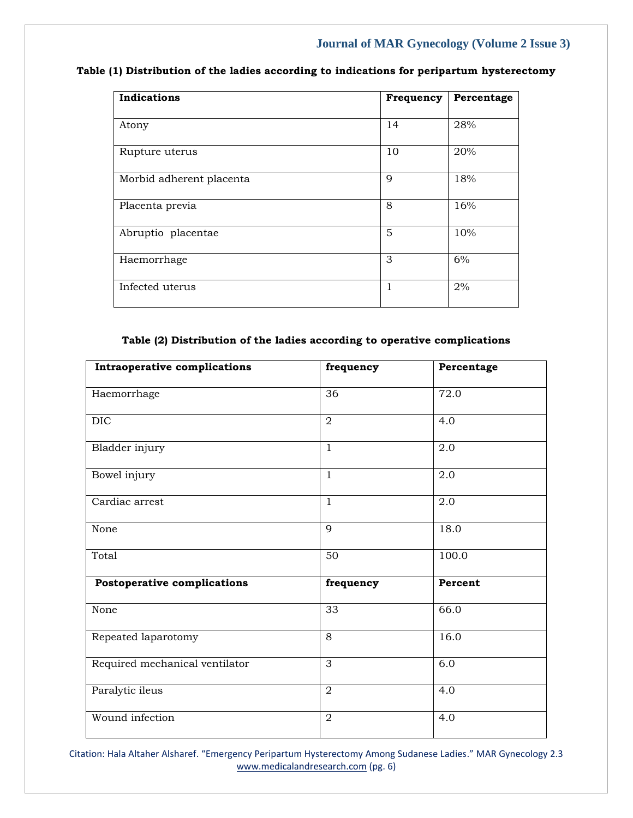# **Table (1) Distribution of the ladies according to indications for peripartum hysterectomy**

| <b>Indications</b>       | Frequency    | Percentage |
|--------------------------|--------------|------------|
| Atony                    | 14           | 28%        |
| Rupture uterus           | 10           | 20%        |
| Morbid adherent placenta | $\mathbf Q$  | 18%        |
| Placenta previa          | 8            | 16%        |
| Abruptio placentae       | 5            | 10%        |
| Haemorrhage              | 3            | 6%         |
| Infected uterus          | $\mathbf{1}$ | 2%         |

# **Table (2) Distribution of the ladies according to operative complications**

| <b>Intraoperative complications</b> | frequency      | Percentage |
|-------------------------------------|----------------|------------|
| Haemorrhage                         | 36             | 72.0       |
| <b>DIC</b>                          | $\overline{2}$ | 4.0        |
| Bladder injury                      | $\mathbf{1}$   | 2.0        |
| Bowel injury                        | $\mathbf{1}$   | 2.0        |
| Cardiac arrest                      | $\mathbf{1}$   | 2.0        |
| None                                | 9              | 18.0       |
| Total                               | 50             | 100.0      |
| Postoperative complications         | frequency      | Percent    |
| None                                | 33             | 66.0       |
| Repeated laparotomy                 | 8              | 16.0       |
| Required mechanical ventilator      | 3              | 6.0        |
| Paralytic ileus                     | $\overline{2}$ | 4.0        |
| Wound infection                     | $\overline{2}$ | 4.0        |

Citation: Hala Altaher Alsharef. "Emergency Peripartum Hysterectomy Among Sudanese Ladies." MAR Gynecology 2.3 [www.medicalandresearch.com](http://www.medicalandresearch.com/) (pg. 6)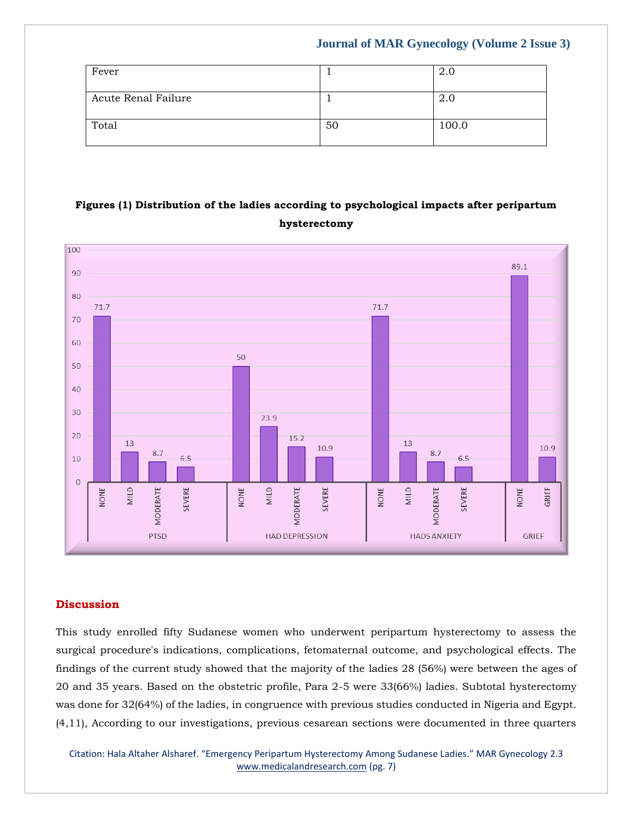| Fever               |    | 2.0   |
|---------------------|----|-------|
| Acute Renal Failure |    | 2.0   |
| Total               | 50 | 100.0 |

# **Figures (1) Distribution of the ladies according to psychological impacts after peripartum hysterectomy**



# **Discussion**

This study enrolled fifty Sudanese women who underwent peripartum hysterectomy to assess the surgical procedure's indications, complications, fetomaternal outcome, and psychological effects. The findings of the current study showed that the majority of the ladies 28 (56%) were between the ages of 20 and 35 years. Based on the obstetric profile, Para 2-5 were 33(66%) ladies. Subtotal hysterectomy was done for 32(64%) of the ladies, in congruence with previous studies conducted in Nigeria and Egypt. (4,11), According to our investigations, previous cesarean sections were documented in three quarters

Citation: Hala Altaher Alsharef. "Emergency Peripartum Hysterectomy Among Sudanese Ladies." MAR Gynecology 2.3 [www.medicalandresearch.com](http://www.medicalandresearch.com/) (pg. 7)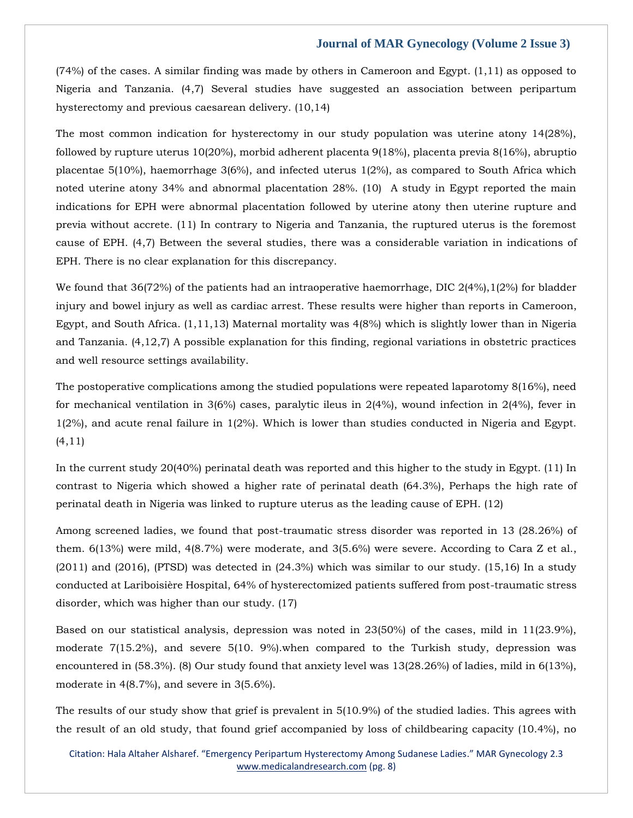(74%) of the cases. A similar finding was made by others in Cameroon and Egypt. (1,11) as opposed to Nigeria and Tanzania. (4,7) Several studies have suggested an association between peripartum hysterectomy and previous caesarean delivery. (10,14)

The most common indication for hysterectomy in our study population was uterine atony 14(28%), followed by rupture uterus 10(20%), morbid adherent placenta 9(18%), placenta previa 8(16%), abruptio placentae 5(10%), haemorrhage 3(6%), and infected uterus 1(2%), as compared to South Africa which noted uterine atony 34% and abnormal placentation 28%. (10) A study in Egypt reported the main indications for EPH were abnormal placentation followed by uterine atony then uterine rupture and previa without accrete. (11) In contrary to Nigeria and Tanzania, the ruptured uterus is the foremost cause of EPH. (4,7) Between the several studies, there was a considerable variation in indications of EPH. There is no clear explanation for this discrepancy.

We found that 36(72%) of the patients had an intraoperative haemorrhage, DIC 2(4%), 1(2%) for bladder injury and bowel injury as well as cardiac arrest. These results were higher than reports in Cameroon, Egypt, and South Africa. (1,11,13) Maternal mortality was 4(8%) which is slightly lower than in Nigeria and Tanzania. (4,12,7) A possible explanation for this finding, regional variations in obstetric practices and well resource settings availability.

The postoperative complications among the studied populations were repeated laparotomy 8(16%), need for mechanical ventilation in  $3(6%)$  cases, paralytic ileus in  $2(4%)$ , wound infection in  $2(4%)$ , fever in 1(2%), and acute renal failure in 1(2%). Which is lower than studies conducted in Nigeria and Egypt. (4,11)

In the current study 20(40%) perinatal death was reported and this higher to the study in Egypt. (11) In contrast to Nigeria which showed a higher rate of perinatal death (64.3%), Perhaps the high rate of perinatal death in Nigeria was linked to rupture uterus as the leading cause of EPH. (12)

Among screened ladies, we found that post-traumatic stress disorder was reported in 13 (28.26%) of them. 6(13%) were mild, 4(8.7%) were moderate, and 3(5.6%) were severe. According to Cara Z et al., (2011) and (2016), (PTSD) was detected in (24.3%) which was similar to our study. (15,16) In a study conducted at Lariboisière Hospital, 64% of hysterectomized patients suffered from post-traumatic stress disorder, which was higher than our study. (17)

Based on our statistical analysis, depression was noted in 23(50%) of the cases, mild in 11(23.9%), moderate 7(15.2%), and severe 5(10. 9%).when compared to the Turkish study, depression was encountered in (58.3%). (8) Our study found that anxiety level was 13(28.26%) of ladies, mild in 6(13%), moderate in 4(8.7%), and severe in 3(5.6%).

The results of our study show that grief is prevalent in 5(10.9%) of the studied ladies. This agrees with the result of an old study, that found grief accompanied by loss of childbearing capacity (10.4%), no

Citation: Hala Altaher Alsharef. "Emergency Peripartum Hysterectomy Among Sudanese Ladies." MAR Gynecology 2.3 [www.medicalandresearch.com](http://www.medicalandresearch.com/) (pg. 8)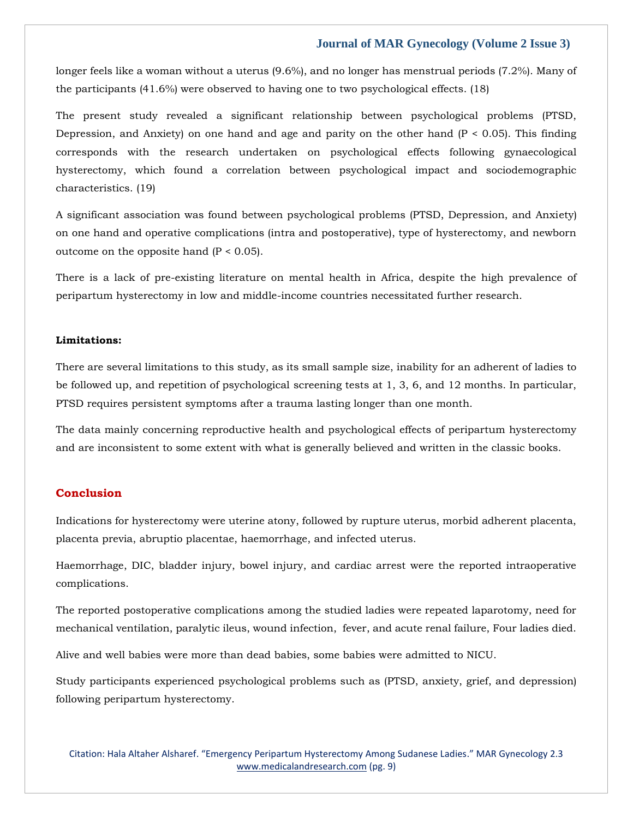longer feels like a woman without a uterus (9.6%), and no longer has menstrual periods (7.2%). Many of the participants (41.6%) were observed to having one to two psychological effects. (18)

The present study revealed a significant relationship between psychological problems (PTSD, Depression, and Anxiety) on one hand and age and parity on the other hand  $(P < 0.05)$ . This finding corresponds with the research undertaken on psychological effects following gynaecological hysterectomy, which found a correlation between psychological impact and sociodemographic characteristics. (19)

A significant association was found between psychological problems (PTSD, Depression, and Anxiety) on one hand and operative complications (intra and postoperative), type of hysterectomy, and newborn outcome on the opposite hand  $(P < 0.05)$ .

There is a lack of pre-existing literature on mental health in Africa, despite the high prevalence of peripartum hysterectomy in low and middle-income countries necessitated further research.

### **Limitations:**

There are several limitations to this study, as its small sample size, inability for an adherent of ladies to be followed up, and repetition of psychological screening tests at 1, 3, 6, and 12 months. In particular, PTSD requires persistent symptoms after a trauma lasting longer than one month.

The data mainly concerning reproductive health and psychological effects of peripartum hysterectomy and are inconsistent to some extent with what is generally believed and written in the classic books.

# **Conclusion**

Indications for hysterectomy were uterine atony, followed by rupture uterus, morbid adherent placenta, placenta previa, abruptio placentae, haemorrhage, and infected uterus.

Haemorrhage, DIC, bladder injury, bowel injury, and cardiac arrest were the reported intraoperative complications.

The reported postoperative complications among the studied ladies were repeated laparotomy, need for mechanical ventilation, paralytic ileus, wound infection, fever, and acute renal failure, Four ladies died.

Alive and well babies were more than dead babies, some babies were admitted to NICU.

Study participants experienced psychological problems such as (PTSD, anxiety, grief, and depression) following peripartum hysterectomy.

Citation: Hala Altaher Alsharef. "Emergency Peripartum Hysterectomy Among Sudanese Ladies." MAR Gynecology 2.3 [www.medicalandresearch.com](http://www.medicalandresearch.com/) (pg. 9)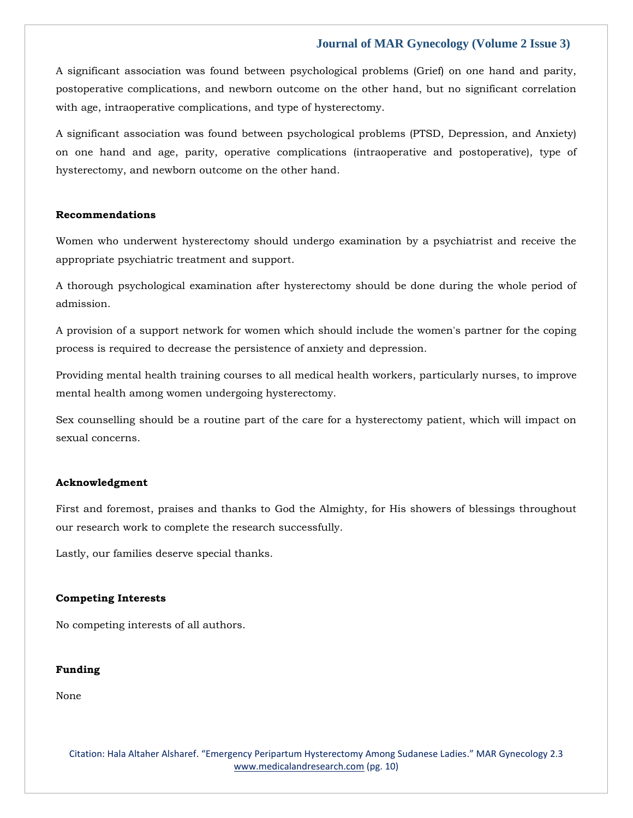A significant association was found between psychological problems (Grief) on one hand and parity, postoperative complications, and newborn outcome on the other hand, but no significant correlation with age, intraoperative complications, and type of hysterectomy.

A significant association was found between psychological problems (PTSD, Depression, and Anxiety) on one hand and age, parity, operative complications (intraoperative and postoperative), type of hysterectomy, and newborn outcome on the other hand.

### **Recommendations**

Women who underwent hysterectomy should undergo examination by a psychiatrist and receive the appropriate psychiatric treatment and support.

A thorough psychological examination after hysterectomy should be done during the whole period of admission.

A provision of a support network for women which should include the women's partner for the coping process is required to decrease the persistence of anxiety and depression.

Providing mental health training courses to all medical health workers, particularly nurses, to improve mental health among women undergoing hysterectomy.

Sex counselling should be a routine part of the care for a hysterectomy patient, which will impact on sexual concerns.

### **Acknowledgment**

First and foremost, praises and thanks to God the Almighty, for His showers of blessings throughout our research work to complete the research successfully.

Lastly, our families deserve special thanks.

### **Competing Interests**

No competing interests of all authors.

### **Funding**

None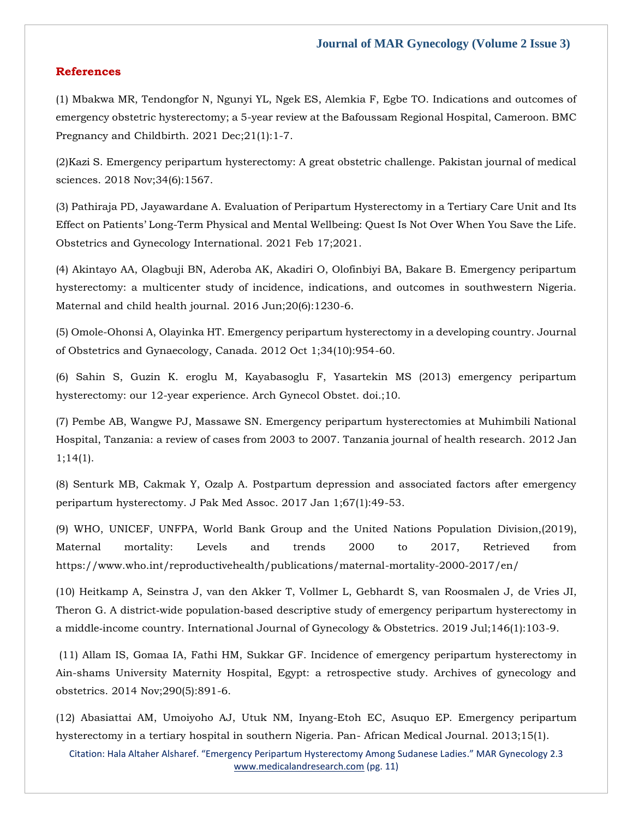### **References**

(1) [Mbakwa MR, Tendongfor N, Ngunyi YL, Ngek ES, Alemkia F, Egbe TO. Indications and outcomes of](https://www.google.com/search?q=Indications+and+outcomes+of+emergency+obstetric+hysterectomy%3B+a+5-year+review+at+the+Bafoussam+Regional+Hospital%2C+Cameroon&oq=Indications+and+outcomes+of+emergency+obstetric+hysterectomy%3B+a+5-year+review+at+the+Bafoussam+Regional+Hospital%2C+Cameroon&aqs=chrome..69i57.401j0j7&sourceid=chrome&ie=UTF-8)  [emergency obstetric hysterectomy; a 5-year review at the Bafoussam Regional Hospital, Cameroon. BMC](https://www.google.com/search?q=Indications+and+outcomes+of+emergency+obstetric+hysterectomy%3B+a+5-year+review+at+the+Bafoussam+Regional+Hospital%2C+Cameroon&oq=Indications+and+outcomes+of+emergency+obstetric+hysterectomy%3B+a+5-year+review+at+the+Bafoussam+Regional+Hospital%2C+Cameroon&aqs=chrome..69i57.401j0j7&sourceid=chrome&ie=UTF-8)  Pregnancy and Childbirth. 2021 Dec; 21(1): 1-7.

(2[\)Kazi S. Emergency peripartum hysterectomy: A great obstetric challenge. Pakistan journal of medical](https://www.google.com/search?q=Emergency+peripartum+hysterectomy%3A+A+great+obstetric+challenge&sxsrf=AOaemvIPyRietDwgtfQtB_7HVHvW7WVMfA%3A1641445397140&ei=FXjWYfnzB-qY4-EPmseEsAw&ved=0ahUKEwi50sHOrJz1AhVqzDgGHZojAcYQ4dUDCA4&uact=5&oq=Emergency+peripartum+hysterectomy%3A+A+great+obstetric+challenge&gs_lcp=Cgdnd3Mtd2l6EAM6BwgjEOoCECdKBAhBGABKBAhGGABQ-QdY-QdgoApoAXAAeACAAcMBiAHDAZIBAzAuMZgBAKABAaABArABCsABAQ&sclient=gws-wiz)  [sciences. 2018 Nov;34\(6\):1567.](https://www.google.com/search?q=Emergency+peripartum+hysterectomy%3A+A+great+obstetric+challenge&sxsrf=AOaemvIPyRietDwgtfQtB_7HVHvW7WVMfA%3A1641445397140&ei=FXjWYfnzB-qY4-EPmseEsAw&ved=0ahUKEwi50sHOrJz1AhVqzDgGHZojAcYQ4dUDCA4&uact=5&oq=Emergency+peripartum+hysterectomy%3A+A+great+obstetric+challenge&gs_lcp=Cgdnd3Mtd2l6EAM6BwgjEOoCECdKBAhBGABKBAhGGABQ-QdY-QdgoApoAXAAeACAAcMBiAHDAZIBAzAuMZgBAKABAaABArABCsABAQ&sclient=gws-wiz)

(3) [Pathiraja PD, Jayawardane A. Evaluation of Peripartum Hysterectomy in a Tertiary Care Unit and Its](https://www.google.com/search?q=Evaluation+of+Peripartum+Hysterectomy+in+a+Tertiary+Care+Unit+and+Its+Effect+on+Patients%E2%80%99+Long-Term+Physical+and+Mental+Wellbeing%3A+Quest+Is+Not+Over+When+You+Save+the+Life&sxsrf=AOaemvKDflw-ArzDnpSGDP7Qr2UYg2FALg%3A1641445422599&ei=LnjWYa6AJJ6P4-EPkMa4qAs&ved=0ahUKEwiuz9ParJz1AhWexzgGHRAjDrUQ4dUDCA4&uact=5&oq=Evaluation+of+Peripartum+Hysterectomy+in+a+Tertiary+Care+Unit+and+Its+Effect+on+Patients%E2%80%99+Long-Term+Physical+and+Mental+Wellbeing%3A+Quest+Is+Not+Over+When+You+Save+the+Life&gs_lcp=Cgdnd3Mtd2l6EAMyBwgjEOoCECcyBwgjEOoCECcyBwgjEOoCECcyBwgjEOoCECcyBwgjEOoCECcyBwgjEOoCECcyBwgjEOoCECcyBwgjEOoCECcyBwgjEOoCECcyBwgjEOoCECdKBAhBGABKBAhGGABQ9AVY9AVg5ghoAXAAeACAAQCIAQCSAQCYAQCgAQGgAQKwAQrAAQE&sclient=gws-wiz)  Effect on Patients' Long[-Term Physical and Mental Wellbeing: Quest Is Not Over When You Save the Life.](https://www.google.com/search?q=Evaluation+of+Peripartum+Hysterectomy+in+a+Tertiary+Care+Unit+and+Its+Effect+on+Patients%E2%80%99+Long-Term+Physical+and+Mental+Wellbeing%3A+Quest+Is+Not+Over+When+You+Save+the+Life&sxsrf=AOaemvKDflw-ArzDnpSGDP7Qr2UYg2FALg%3A1641445422599&ei=LnjWYa6AJJ6P4-EPkMa4qAs&ved=0ahUKEwiuz9ParJz1AhWexzgGHRAjDrUQ4dUDCA4&uact=5&oq=Evaluation+of+Peripartum+Hysterectomy+in+a+Tertiary+Care+Unit+and+Its+Effect+on+Patients%E2%80%99+Long-Term+Physical+and+Mental+Wellbeing%3A+Quest+Is+Not+Over+When+You+Save+the+Life&gs_lcp=Cgdnd3Mtd2l6EAMyBwgjEOoCECcyBwgjEOoCECcyBwgjEOoCECcyBwgjEOoCECcyBwgjEOoCECcyBwgjEOoCECcyBwgjEOoCECcyBwgjEOoCECcyBwgjEOoCECcyBwgjEOoCECdKBAhBGABKBAhGGABQ9AVY9AVg5ghoAXAAeACAAQCIAQCSAQCYAQCgAQGgAQKwAQrAAQE&sclient=gws-wiz)  [Obstetrics and Gynecology International. 2021 Feb 17;2021.](https://www.google.com/search?q=Evaluation+of+Peripartum+Hysterectomy+in+a+Tertiary+Care+Unit+and+Its+Effect+on+Patients%E2%80%99+Long-Term+Physical+and+Mental+Wellbeing%3A+Quest+Is+Not+Over+When+You+Save+the+Life&sxsrf=AOaemvKDflw-ArzDnpSGDP7Qr2UYg2FALg%3A1641445422599&ei=LnjWYa6AJJ6P4-EPkMa4qAs&ved=0ahUKEwiuz9ParJz1AhWexzgGHRAjDrUQ4dUDCA4&uact=5&oq=Evaluation+of+Peripartum+Hysterectomy+in+a+Tertiary+Care+Unit+and+Its+Effect+on+Patients%E2%80%99+Long-Term+Physical+and+Mental+Wellbeing%3A+Quest+Is+Not+Over+When+You+Save+the+Life&gs_lcp=Cgdnd3Mtd2l6EAMyBwgjEOoCECcyBwgjEOoCECcyBwgjEOoCECcyBwgjEOoCECcyBwgjEOoCECcyBwgjEOoCECcyBwgjEOoCECcyBwgjEOoCECcyBwgjEOoCECcyBwgjEOoCECdKBAhBGABKBAhGGABQ9AVY9AVg5ghoAXAAeACAAQCIAQCSAQCYAQCgAQGgAQKwAQrAAQE&sclient=gws-wiz)

(4) [Akintayo AA, Olagbuji BN, Aderoba AK, Akadiri O, Olofinbiyi BA, Bakare B. Emergency peripartum](https://www.google.com/search?q=Emergency+peripartum+hysterectomy%3A+a+multicenter+study+of+incidence%2C+indications%2C+and+outcomes+in+southwestern+Nigeria&sxsrf=AOaemvJmMnNG1RFe2UYXOkj0AHK0YmJlNg%3A1641445442116&ei=QnjWYYLQBuaJ4-EP1KuwgAE&ved=0ahUKEwiC-frjrJz1AhXmxDgGHdQVDBAQ4dUDCA4&uact=5&oq=Emergency+peripartum+hysterectomy%3A+a+multicenter+study+of+incidence%2C+indications%2C+and+outcomes+in+southwestern+Nigeria&gs_lcp=Cgdnd3Mtd2l6EAMyBwgjEOoCECcyBwgjEOoCECcyBwgjEOoCECcyBwgjEOoCECcyBwgjEOoCECcyBwgjEOoCECcyBwgjEOoCECcyBwgjEOoCECcyBwgjEOoCECcyBwgjEOoCECdKBAhBGABKBAhGGABQtgVYtgVg6QdoAXAAeACAAQCIAQCSAQCYAQCgAQGgAQKwAQrAAQE&sclient=gws-wiz)  [hysterectomy: a multicenter study of incidence, indications, and outcomes in southwestern Nigeria.](https://www.google.com/search?q=Emergency+peripartum+hysterectomy%3A+a+multicenter+study+of+incidence%2C+indications%2C+and+outcomes+in+southwestern+Nigeria&sxsrf=AOaemvJmMnNG1RFe2UYXOkj0AHK0YmJlNg%3A1641445442116&ei=QnjWYYLQBuaJ4-EP1KuwgAE&ved=0ahUKEwiC-frjrJz1AhXmxDgGHdQVDBAQ4dUDCA4&uact=5&oq=Emergency+peripartum+hysterectomy%3A+a+multicenter+study+of+incidence%2C+indications%2C+and+outcomes+in+southwestern+Nigeria&gs_lcp=Cgdnd3Mtd2l6EAMyBwgjEOoCECcyBwgjEOoCECcyBwgjEOoCECcyBwgjEOoCECcyBwgjEOoCECcyBwgjEOoCECcyBwgjEOoCECcyBwgjEOoCECcyBwgjEOoCECcyBwgjEOoCECdKBAhBGABKBAhGGABQtgVYtgVg6QdoAXAAeACAAQCIAQCSAQCYAQCgAQGgAQKwAQrAAQE&sclient=gws-wiz)  [Maternal and child health journal. 2016 Jun;20\(6\):1230-6.](https://www.google.com/search?q=Emergency+peripartum+hysterectomy%3A+a+multicenter+study+of+incidence%2C+indications%2C+and+outcomes+in+southwestern+Nigeria&sxsrf=AOaemvJmMnNG1RFe2UYXOkj0AHK0YmJlNg%3A1641445442116&ei=QnjWYYLQBuaJ4-EP1KuwgAE&ved=0ahUKEwiC-frjrJz1AhXmxDgGHdQVDBAQ4dUDCA4&uact=5&oq=Emergency+peripartum+hysterectomy%3A+a+multicenter+study+of+incidence%2C+indications%2C+and+outcomes+in+southwestern+Nigeria&gs_lcp=Cgdnd3Mtd2l6EAMyBwgjEOoCECcyBwgjEOoCECcyBwgjEOoCECcyBwgjEOoCECcyBwgjEOoCECcyBwgjEOoCECcyBwgjEOoCECcyBwgjEOoCECcyBwgjEOoCECcyBwgjEOoCECdKBAhBGABKBAhGGABQtgVYtgVg6QdoAXAAeACAAQCIAQCSAQCYAQCgAQGgAQKwAQrAAQE&sclient=gws-wiz)

(5[\) Omole-Ohonsi A, Olayinka HT. Emergency peripartum hysterectomy in a developing country. Journal](https://www.google.com/search?q=Emergency+peripartum+hysterectomy+in+a+developing+country.+Journal+of+Obstetrics+and+Gynaecology%2C+Canada&sxsrf=AOaemvLvJxa7Vk5emMrbMotl1tRj1VYPgg%3A1641445461223&ei=VXjWYf-CDbD0juMPo_62iA0&ved=0ahUKEwi_gYntrJz1AhUwumMGHSO_DdEQ4dUDCA4&uact=5&oq=Emergency+peripartum+hysterectomy+in+a+developing+country.+Journal+of+Obstetrics+and+Gynaecology%2C+Canada&gs_lcp=Cgdnd3Mtd2l6EAMyBwgjEOoCECcyBwgjEOoCECcyBwgjEOoCECcyBwgjEOoCECcyBwgjEOoCECcyBwgjEOoCECcyBwgjEOoCECcyBwgjEOoCECcyBwgjEOoCECcyBwgjEOoCECdKBAhBGABKBAhGGABQmQVYmQVgowdoAXAAeACAAQCIAQCSAQCYAQCgAQGgAQKwAQrAAQE&sclient=gws-wiz)  [of Obstetrics and Gynaecology, Canada. 2012 Oct 1;34\(10\):954-60.](https://www.google.com/search?q=Emergency+peripartum+hysterectomy+in+a+developing+country.+Journal+of+Obstetrics+and+Gynaecology%2C+Canada&sxsrf=AOaemvLvJxa7Vk5emMrbMotl1tRj1VYPgg%3A1641445461223&ei=VXjWYf-CDbD0juMPo_62iA0&ved=0ahUKEwi_gYntrJz1AhUwumMGHSO_DdEQ4dUDCA4&uact=5&oq=Emergency+peripartum+hysterectomy+in+a+developing+country.+Journal+of+Obstetrics+and+Gynaecology%2C+Canada&gs_lcp=Cgdnd3Mtd2l6EAMyBwgjEOoCECcyBwgjEOoCECcyBwgjEOoCECcyBwgjEOoCECcyBwgjEOoCECcyBwgjEOoCECcyBwgjEOoCECcyBwgjEOoCECcyBwgjEOoCECcyBwgjEOoCECdKBAhBGABKBAhGGABQmQVYmQVgowdoAXAAeACAAQCIAQCSAQCYAQCgAQGgAQKwAQrAAQE&sclient=gws-wiz)

(6) [Sahin S, Guzin K. eroglu M, Kayabasoglu F, Yasartekin MS \(2013\) emergency peripartum](https://www.google.com/search?q=emergency+peripartum+hysterectomy%3A+our+12-year+experience&sxsrf=AOaemvJoNfXiy9lZhQmOgwBjLJM_-VhYQA%3A1641445477347&ei=ZXjWYYDZFMCW4-EP-ZqByA0&ved=0ahUKEwjAn-H0rJz1AhVAyzgGHXlNANkQ4dUDCA4&uact=5&oq=emergency+peripartum+hysterectomy%3A+our+12-year+experience&gs_lcp=Cgdnd3Mtd2l6EAM6BwgjEOoCECdKBAhBGABKBAhGGABQ6QVY6QVgnQhoAXAAeACAAZoCiAGaApIBAzItMZgBAKABAaABArABCsABAQ&sclient=gws-wiz)  [hysterectomy: our 12-year experience. Arch Gynecol Obstet. doi.;10.](https://www.google.com/search?q=emergency+peripartum+hysterectomy%3A+our+12-year+experience&sxsrf=AOaemvJoNfXiy9lZhQmOgwBjLJM_-VhYQA%3A1641445477347&ei=ZXjWYYDZFMCW4-EP-ZqByA0&ved=0ahUKEwjAn-H0rJz1AhVAyzgGHXlNANkQ4dUDCA4&uact=5&oq=emergency+peripartum+hysterectomy%3A+our+12-year+experience&gs_lcp=Cgdnd3Mtd2l6EAM6BwgjEOoCECdKBAhBGABKBAhGGABQ6QVY6QVgnQhoAXAAeACAAZoCiAGaApIBAzItMZgBAKABAaABArABCsABAQ&sclient=gws-wiz)

(7) [Pembe AB, Wangwe PJ, Massawe SN. Emergency peripartum hysterectomies at Muhimbili National](https://www.google.com/search?q=Emergency+peripartum+hysterectomies+at+Muhimbili+National+Hospital%2C+Tanzania%3A+a+review+of+cases+from+2003+to+2007&sxsrf=AOaemvLjy46UGm5jBvnSmVoAV8FWSXHmBQ%3A1641445499878&ei=e3jWYZSFNcOY4-EPj469mAU&ved=0ahUKEwjUrsD_rJz1AhVDzDgGHQ9HD1MQ4dUDCA4&uact=5&oq=Emergency+peripartum+hysterectomies+at+Muhimbili+National+Hospital%2C+Tanzania%3A+a+review+of+cases+from+2003+to+2007&gs_lcp=Cgdnd3Mtd2l6EAMyBwgjEOoCECcyBwgjEOoCECcyBwgjEOoCECcyBwgjEOoCECcyBwgjEOoCECcyBwgjEOoCECcyBwgjEOoCECcyBwgjEOoCECcyBwgjEOoCECcyBwgjEOoCECdKBAhBGABKBAhGGABQmAVYmAVgxQdoAXAAeACAAQCIAQCSAQCYAQCgAQGgAQKwAQrAAQE&sclient=gws-wiz)  [Hospital, Tanzania: a review of cases from 2003 to 2007. Tanzania journal of health research.](https://www.google.com/search?q=Emergency+peripartum+hysterectomies+at+Muhimbili+National+Hospital%2C+Tanzania%3A+a+review+of+cases+from+2003+to+2007&sxsrf=AOaemvLjy46UGm5jBvnSmVoAV8FWSXHmBQ%3A1641445499878&ei=e3jWYZSFNcOY4-EPj469mAU&ved=0ahUKEwjUrsD_rJz1AhVDzDgGHQ9HD1MQ4dUDCA4&uact=5&oq=Emergency+peripartum+hysterectomies+at+Muhimbili+National+Hospital%2C+Tanzania%3A+a+review+of+cases+from+2003+to+2007&gs_lcp=Cgdnd3Mtd2l6EAMyBwgjEOoCECcyBwgjEOoCECcyBwgjEOoCECcyBwgjEOoCECcyBwgjEOoCECcyBwgjEOoCECcyBwgjEOoCECcyBwgjEOoCECcyBwgjEOoCECcyBwgjEOoCECdKBAhBGABKBAhGGABQmAVYmAVgxQdoAXAAeACAAQCIAQCSAQCYAQCgAQGgAQKwAQrAAQE&sclient=gws-wiz) 2012 Jan [1;14\(1\).](https://www.google.com/search?q=Emergency+peripartum+hysterectomies+at+Muhimbili+National+Hospital%2C+Tanzania%3A+a+review+of+cases+from+2003+to+2007&sxsrf=AOaemvLjy46UGm5jBvnSmVoAV8FWSXHmBQ%3A1641445499878&ei=e3jWYZSFNcOY4-EPj469mAU&ved=0ahUKEwjUrsD_rJz1AhVDzDgGHQ9HD1MQ4dUDCA4&uact=5&oq=Emergency+peripartum+hysterectomies+at+Muhimbili+National+Hospital%2C+Tanzania%3A+a+review+of+cases+from+2003+to+2007&gs_lcp=Cgdnd3Mtd2l6EAMyBwgjEOoCECcyBwgjEOoCECcyBwgjEOoCECcyBwgjEOoCECcyBwgjEOoCECcyBwgjEOoCECcyBwgjEOoCECcyBwgjEOoCECcyBwgjEOoCECcyBwgjEOoCECdKBAhBGABKBAhGGABQmAVYmAVgxQdoAXAAeACAAQCIAQCSAQCYAQCgAQGgAQKwAQrAAQE&sclient=gws-wiz)

(8) [Senturk MB, Cakmak Y, Ozalp A. Postpartum depression and associated factors after emergency](https://www.google.com/search?q=Postpartum+depression+and+associated+factors+after+emergency+peripartum+hysterectomy&sxsrf=AOaemvKkhjVT31hOJmojiSkJzReK02A8BA%3A1641445524130&ei=lHjWYZexB9vE4-EPl9SIUA&ved=0ahUKEwiXy4iLrZz1AhVb4jgGHRcqAgoQ4dUDCA4&uact=5&oq=Postpartum+depression+and+associated+factors+after+emergency+peripartum+hysterectomy&gs_lcp=Cgdnd3Mtd2l6EAM6BwgjEOoCECdKBAhBGABKBAhGGABQ7wVY7wVgoQhoAXAAeACAAd8BiAHfAZIBAzItMZgBAKABAaABArABCsABAQ&sclient=gws-wiz)  [peripartum hysterectomy. J Pak Med Assoc. 2017 Jan 1;67\(1\):49-53.](https://www.google.com/search?q=Postpartum+depression+and+associated+factors+after+emergency+peripartum+hysterectomy&sxsrf=AOaemvKkhjVT31hOJmojiSkJzReK02A8BA%3A1641445524130&ei=lHjWYZexB9vE4-EPl9SIUA&ved=0ahUKEwiXy4iLrZz1AhVb4jgGHRcqAgoQ4dUDCA4&uact=5&oq=Postpartum+depression+and+associated+factors+after+emergency+peripartum+hysterectomy&gs_lcp=Cgdnd3Mtd2l6EAM6BwgjEOoCECdKBAhBGABKBAhGGABQ7wVY7wVgoQhoAXAAeACAAd8BiAHfAZIBAzItMZgBAKABAaABArABCsABAQ&sclient=gws-wiz)

(9) WHO, UNICEF, UNFPA, World Bank Group and the United Nations Population Division,(2019), Maternal mortality: Levels and trends 2000 to 2017, Retrieved from https://www.who.int/reproductivehealth/publications/maternal-mortality-2000-2017/en/

(10) [Heitkamp A, Seinstra J, van den Akker T, Vollmer L, Gebhardt S, van Roosmalen J, de Vries JI,](https://www.google.com/search?q=A+district%E2%80%90wide+population%E2%80%90based+descriptive+study+of+emergency+peripartum+hysterectomy+in+a+middle%E2%80%90income+country&sxsrf=AOaemvLFxLaympabvbxFERDIsE1B1EeYRQ%3A1641445539855&ei=o3jWYZ7gM66e4-EPi7-78A4&ved=0ahUKEwjevciSrZz1AhUuzzgGHYvfDu4Q4dUDCA4&uact=5&oq=A+district%E2%80%90wide+population%E2%80%90based+descriptive+study+of+emergency+peripartum+hysterectomy+in+a+middle%E2%80%90income+country&gs_lcp=Cgdnd3Mtd2l6EAMyBwgjEOoCECcyBwgjEOoCECcyBwgjEOoCECcyBwgjEOoCECcyBwgjEOoCECcyBwgjEOoCECcyBwgjEOoCECcyBwgjEOoCECcyBwgjEOoCECcyBwgjEOoCECdKBAhBGABKBAhGGABQpAVYpAVg7QdoAXACeACAAQCIAQCSAQCYAQCgAQGgAQKwAQrAAQE&sclient=gws-wiz)  Theron G. A district-wide population-based descriptive study of emergency peripartum hysterectomy in a middle‐[income country. International Journal of Gynecology & Obstetrics. 2019 Jul;146\(1\):103-9.](https://www.google.com/search?q=A+district%E2%80%90wide+population%E2%80%90based+descriptive+study+of+emergency+peripartum+hysterectomy+in+a+middle%E2%80%90income+country&sxsrf=AOaemvLFxLaympabvbxFERDIsE1B1EeYRQ%3A1641445539855&ei=o3jWYZ7gM66e4-EPi7-78A4&ved=0ahUKEwjevciSrZz1AhUuzzgGHYvfDu4Q4dUDCA4&uact=5&oq=A+district%E2%80%90wide+population%E2%80%90based+descriptive+study+of+emergency+peripartum+hysterectomy+in+a+middle%E2%80%90income+country&gs_lcp=Cgdnd3Mtd2l6EAMyBwgjEOoCECcyBwgjEOoCECcyBwgjEOoCECcyBwgjEOoCECcyBwgjEOoCECcyBwgjEOoCECcyBwgjEOoCECcyBwgjEOoCECcyBwgjEOoCECcyBwgjEOoCECdKBAhBGABKBAhGGABQpAVYpAVg7QdoAXACeACAAQCIAQCSAQCYAQCgAQGgAQKwAQrAAQE&sclient=gws-wiz)

(11) [Allam IS, Gomaa IA, Fathi HM, Sukkar GF. Incidence of emergency peripartum hysterectomy in](https://www.google.com/search?q=Incidence+of+emergency+peripartum+hysterectomy+in+Ain-shams+University+Maternity+Hospital%2C+Egypt%3A+a+retrospective+study&sxsrf=AOaemvJywnkeJOc3WXnaMQt3kU7dZPxU4w%3A1641445573458&ei=xXjWYbewG_r0juMPlbaRsAw&ved=0ahUKEwj3psuirZz1AhV6umMGHRVbBMYQ4dUDCA4&uact=5&oq=Incidence+of+emergency+peripartum+hysterectomy+in+Ain-shams+University+Maternity+Hospital%2C+Egypt%3A+a+retrospective+study&gs_lcp=Cgdnd3Mtd2l6EAMyBwgjEOoCECcyBwgjEOoCECcyBwgjEOoCECcyBwgjEOoCECcyBwgjEOoCECcyBwgjEOoCECcyBwgjEOoCECcyBwgjEOoCECcyBwgjEOoCECcyBwgjEOoCECdKBAhBGABKBAhGGABQ7gVY7gVgpQhoAXAAeACAAQCIAQCSAQCYAQCgAQGgAQKwAQrAAQE&sclient=gws-wiz)  [Ain-shams University Maternity Hospital, Egypt: a retrospective study. Archives of gynecology and](https://www.google.com/search?q=Incidence+of+emergency+peripartum+hysterectomy+in+Ain-shams+University+Maternity+Hospital%2C+Egypt%3A+a+retrospective+study&sxsrf=AOaemvJywnkeJOc3WXnaMQt3kU7dZPxU4w%3A1641445573458&ei=xXjWYbewG_r0juMPlbaRsAw&ved=0ahUKEwj3psuirZz1AhV6umMGHRVbBMYQ4dUDCA4&uact=5&oq=Incidence+of+emergency+peripartum+hysterectomy+in+Ain-shams+University+Maternity+Hospital%2C+Egypt%3A+a+retrospective+study&gs_lcp=Cgdnd3Mtd2l6EAMyBwgjEOoCECcyBwgjEOoCECcyBwgjEOoCECcyBwgjEOoCECcyBwgjEOoCECcyBwgjEOoCECcyBwgjEOoCECcyBwgjEOoCECcyBwgjEOoCECcyBwgjEOoCECdKBAhBGABKBAhGGABQ7gVY7gVgpQhoAXAAeACAAQCIAQCSAQCYAQCgAQGgAQKwAQrAAQE&sclient=gws-wiz)  [obstetrics. 2014 Nov;290\(5\):891-6.](https://www.google.com/search?q=Incidence+of+emergency+peripartum+hysterectomy+in+Ain-shams+University+Maternity+Hospital%2C+Egypt%3A+a+retrospective+study&sxsrf=AOaemvJywnkeJOc3WXnaMQt3kU7dZPxU4w%3A1641445573458&ei=xXjWYbewG_r0juMPlbaRsAw&ved=0ahUKEwj3psuirZz1AhV6umMGHRVbBMYQ4dUDCA4&uact=5&oq=Incidence+of+emergency+peripartum+hysterectomy+in+Ain-shams+University+Maternity+Hospital%2C+Egypt%3A+a+retrospective+study&gs_lcp=Cgdnd3Mtd2l6EAMyBwgjEOoCECcyBwgjEOoCECcyBwgjEOoCECcyBwgjEOoCECcyBwgjEOoCECcyBwgjEOoCECcyBwgjEOoCECcyBwgjEOoCECcyBwgjEOoCECcyBwgjEOoCECdKBAhBGABKBAhGGABQ7gVY7gVgpQhoAXAAeACAAQCIAQCSAQCYAQCgAQGgAQKwAQrAAQE&sclient=gws-wiz)

(12) [Abasiattai AM, Umoiyoho AJ, Utuk NM, Inyang-Etoh EC, Asuquo EP. Emergency peripartum](https://www.google.com/search?q=Emergency+peripartum+hysterectomy+in+a+tertiary+hospital+in+southern+Nigeria&sxsrf=AOaemvIrc6PgOsniz19rp97AjzBxJasQVg%3A1641445591253&ei=13jWYff-DsiX4-EPsoqVyAw&ved=0ahUKEwi3xomrrZz1AhXIyzgGHTJFBckQ4dUDCA4&uact=5&oq=Emergency+peripartum+hysterectomy+in+a+tertiary+hospital+in+southern+Nigeria&gs_lcp=Cgdnd3Mtd2l6EAMyBwgjEOoCECcyBwgjEOoCECcyBwgjEOoCECcyBwgjEOoCECcyBwgjEOoCECcyBwgjEOoCECcyBwgjEOoCECcyBwgjEOoCECcyBwgjEOoCECcyBwgjEOoCECdKBAhBGABKBAhGGABQ1gVY1gVg-AdoAXAAeACAAQCIAQCSAQCYAQCgAQGgAQKwAQrAAQE&sclient=gws-wiz)  [hysterectomy in a tertiary hospital in southern Nigeria. Pan-](https://www.google.com/search?q=Emergency+peripartum+hysterectomy+in+a+tertiary+hospital+in+southern+Nigeria&sxsrf=AOaemvIrc6PgOsniz19rp97AjzBxJasQVg%3A1641445591253&ei=13jWYff-DsiX4-EPsoqVyAw&ved=0ahUKEwi3xomrrZz1AhXIyzgGHTJFBckQ4dUDCA4&uact=5&oq=Emergency+peripartum+hysterectomy+in+a+tertiary+hospital+in+southern+Nigeria&gs_lcp=Cgdnd3Mtd2l6EAMyBwgjEOoCECcyBwgjEOoCECcyBwgjEOoCECcyBwgjEOoCECcyBwgjEOoCECcyBwgjEOoCECcyBwgjEOoCECcyBwgjEOoCECcyBwgjEOoCECcyBwgjEOoCECdKBAhBGABKBAhGGABQ1gVY1gVg-AdoAXAAeACAAQCIAQCSAQCYAQCgAQGgAQKwAQrAAQE&sclient=gws-wiz) African Medical Journal. 2013;15(1).

Citation: Hala Altaher Alsharef. "Emergency Peripartum Hysterectomy Among Sudanese Ladies." MAR Gynecology 2.3 [www.medicalandresearch.com](http://www.medicalandresearch.com/) (pg. 11)